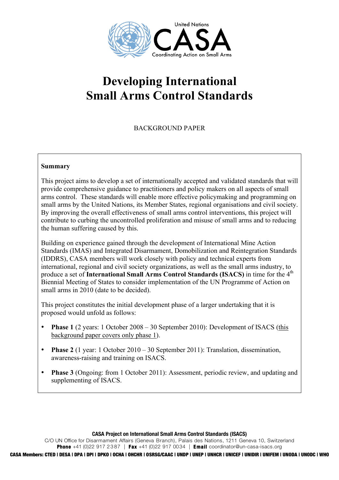

# **Developing International Small Arms Control Standards**

## BACKGROUND PAPER

#### **Summary**

This project aims to develop a set of internationally accepted and validated standards that will provide comprehensive guidance to practitioners and policy makers on all aspects of small arms control. These standards will enable more effective policymaking and programming on small arms by the United Nations, its Member States, regional organisations and civil society. By improving the overall effectiveness of small arms control interventions, this project will contribute to curbing the uncontrolled proliferation and misuse of small arms and to reducing the human suffering caused by this.

Building on experience gained through the development of International Mine Action Standards (IMAS) and Integrated Disarmament, Domobilization and Reintegration Standards (IDDRS), CASA members will work closely with policy and technical experts from international, regional and civil society organizations, as well as the small arms industry, to produce a set of **International Small Arms Control Standards (ISACS)** in time for the 4<sup>th</sup> Biennial Meeting of States to consider implementation of the UN Programme of Action on small arms in 2010 (date to be decided).

This project constitutes the initial development phase of a larger undertaking that it is proposed would unfold as follows:

- **Phase 1** (2 years: 1 October 2008 30 September 2010): Development of ISACS (this background paper covers only phase 1).
- **Phase 2** (1 year: 1 October 2010 30 September 2011): Translation, dissemination, awareness-raising and training on ISACS.
- **Phase 3** (Ongoing: from 1 October 2011): Assessment, periodic review, and updating and supplementing of ISACS.

**CASA Project on International Small Arms Control Standards (ISACS)**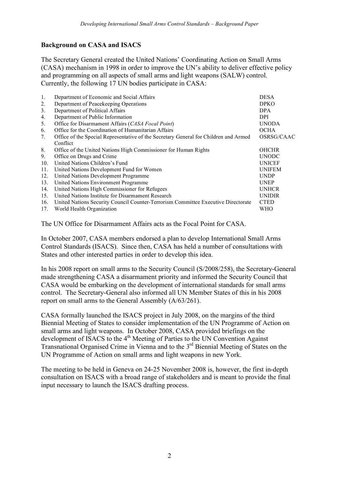## **Background on CASA and ISACS**

The Secretary General created the United Nations' Coordinating Action on Small Arms (CASA) mechanism in 1998 in order to improve the UN's ability to deliver effective policy and programming on all aspects of small arms and light weapons (SALW) control. Currently, the following 17 UN bodies participate in CASA:

| 1.              | Department of Economic and Social Affairs                                            | <b>DESA</b>   |
|-----------------|--------------------------------------------------------------------------------------|---------------|
| 2.              | Department of Peacekeeping Operations                                                | <b>DPKO</b>   |
| 3.              | Department of Political Affairs                                                      | <b>DPA</b>    |
| 4.              | Department of Public Information                                                     | <b>DPI</b>    |
| 5.              | Office for Disarmament Affairs (CASA Focal Point)                                    | <b>UNODA</b>  |
| 6.              | Office for the Coordination of Humanitarian Affairs                                  | <b>OCHA</b>   |
| 7.              | Office of the Special Representative of the Secretary General for Children and Armed | OSRSG/CAAC    |
|                 | Conflict                                                                             |               |
| 8.              | Office of the United Nations High Commissioner for Human Rights                      | <b>OHCHR</b>  |
| 9.              | Office on Drugs and Crime                                                            | <b>UNODC</b>  |
| 10 <sub>1</sub> | United Nations Children's Fund                                                       | <b>UNICEF</b> |
| 11.             | United Nations Development Fund for Women                                            | <b>UNIFEM</b> |
| 12.             | United Nations Development Programme                                                 | <b>UNDP</b>   |
| 13.             | United Nations Environment Programme                                                 | <b>UNEP</b>   |
| 14.             | United Nations High Commissioner for Refugees                                        | <b>UNHCR</b>  |
| 15.             | United Nations Institute for Disarmament Research                                    | <b>UNIDIR</b> |
| 16.             | United Nations Security Council Counter-Terrorism Committee Executive Directorate    | <b>CTED</b>   |
| 17.             | World Health Organization                                                            | WHO           |
|                 |                                                                                      |               |

The UN Office for Disarmament Affairs acts as the Focal Point for CASA.

In October 2007, CASA members endorsed a plan to develop International Small Arms Control Standards (ISACS). Since then, CASA has held a number of consultations with States and other interested parties in order to develop this idea.

In his 2008 report on small arms to the Security Council (S/2008/258), the Secretary-General made strengthening CASA a disarmament priority and informed the Security Council that CASA would be embarking on the development of international standards for small arms control. The Secretary-General also informed all UN Member States of this in his 2008 report on small arms to the General Assembly (A/63/261).

CASA formally launched the ISACS project in July 2008, on the margins of the third Biennial Meeting of States to consider implementation of the UN Programme of Action on small arms and light weapons. In October 2008, CASA provided briefings on the development of ISACS to the 4<sup>th</sup> Meeting of Parties to the UN Convention Against Transnational Organised Crime in Vienna and to the 3rd Biennial Meeting of States on the UN Programme of Action on small arms and light weapons in new York.

The meeting to be held in Geneva on 24-25 November 2008 is, however, the first in-depth consultation on ISACS with a broad range of stakeholders and is meant to provide the final input necessary to launch the ISACS drafting process.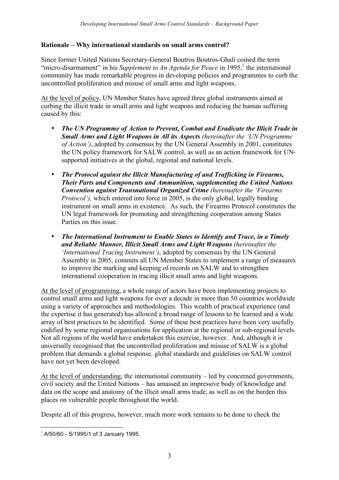## **Rationale – Why international standards on small arms control?**

Since former United Nations Secretary-General Boutros Boutros-Ghali coined the term "micro-disarmament" in his *Supplement to An Agenda for Peace* in 1995,<sup>1</sup> the international community has made remarkable progress in developing policies and programmes to curb the uncontrolled proliferation and misuse of small arms and light weapons.

At the level of policy, UN Member States have agreed three global instruments aimed at curbing the illicit trade in small arms and light weapons and reducing the human suffering caused by this:

- *The UN Programme of Action to Prevent, Combat and Eradicate the Illicit Trade in Small Arms and Light Weapons in All its Aspects (hereinafter the 'UN Programme of Action')*, adopted by consensus by the UN General Assembly in 2001, constitutes the UN policy framework for SALW control, as well as an action framework for UNsupported initiatives at the global, regional and national levels.
- *The Protocol against the Illicit Manufacturing of and Trafficking in Firearms, Their Parts and Components and Ammunition, supplementing the United Nations Convention against Transnational Organized Crime (hereinafter the 'Firearms Protocol'*), which entered into force in 2005, is the only global, legally binding instrument on small arms in existence. As such, the Firearms Protocol constitutes the UN legal framework for promoting and strengthening cooperation among States Parties on this issue.
- *The International Instrument to Enable States to Identify and Trace, in a Timely and Reliable Manner, Illicit Small Arms and Light Weapons (hereinafter the 'International Tracing Instrument')*, adopted by consensus by the UN General Assembly in 2005, commits all UN Member States to implement a range of measures to improve the marking and keeping of records on SALW and to strengthen international cooperation in tracing illicit small arms and light weapons.

At the level of programming, a whole range of actors have been implementing projects to control small arms and light weapons for over a decade in more than 50 countries worldwide using a variety of approaches and methodologies. This wealth of practical experience (and the expertise it has generated) has allowed a broad range of lessons to be learned and a wide array of best practices to be identified. Some of these best practices have been very usefully codified by some regional organisations for application at the regional or sub-regional levels. Not all regions of the world have undertaken this exercise, however. And, although it is universally recognised that the uncontrolled proliferation and misuse of SALW is a global problem that demands a global response, global standards and guidelines on SALW control have not yet been developed.

At the level of understanding, the international community – led by concerned governments, civil society and the United Nations – has amassed an impressive body of knowledge and data on the scope and anatomy of the illicit small arms trade, as well as on the burden this places on vulnerable people throughout the world.

Despite all of this progress, however, much more work remains to be done to check the

 $1$  A/50/60 - S/1995/1 of 3 January 1995.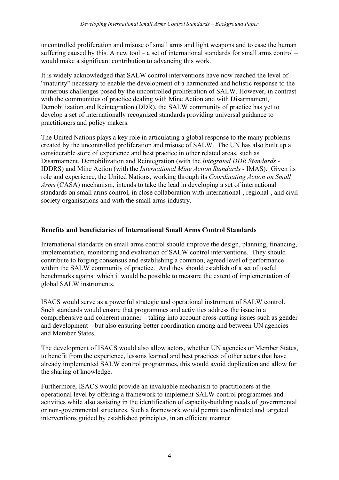uncontrolled proliferation and misuse of small arms and light weapons and to ease the human suffering caused by this. A new tool – a set of international standards for small arms control – would make a significant contribution to advancing this work.

It is widely acknowledged that SALW control interventions have now reached the level of "maturity" necessary to enable the development of a harmonized and holistic response to the numerous challenges posed by the uncontrolled proliferation of SALW. However, in contrast with the communities of practice dealing with Mine Action and with Disarmament, Demobilization and Reintegration (DDR), the SALW community of practice has yet to develop a set of internationally recognized standards providing universal guidance to practitioners and policy makers.

The United Nations plays a key role in articulating a global response to the many problems created by the uncontrolled proliferation and misuse of SALW. The UN has also built up a considerable store of experience and best practice in other related areas, such as Disarmament, Demobilization and Reintegration (with the *Integrated DDR Standards* - IDDRS) and Mine Action (with the *International Mine Action Standards* - IMAS). Given its role and experience, the United Nations, working through its *Coordinating Action on Small Arms* (CASA) mechanism, intends to take the lead in developing a set of international standards on small arms control, in close collaboration with international-, regional-, and civil society organisations and with the small arms industry.

## **Benefits and beneficiaries of International Small Arms Control Standards**

International standards on small arms control should improve the design, planning, financing, implementation, monitoring and evaluation of SALW control interventions. They should contribute to forging consensus and establishing a common, agreed level of performance within the SALW community of practice. And they should establish of a set of useful benchmarks against which it would be possible to measure the extent of implementation of global SALW instruments.

ISACS would serve as a powerful strategic and operational instrument of SALW control. Such standards would ensure that programmes and activities address the issue in a comprehensive and coherent manner – taking into account cross-cutting issues such as gender and development – but also ensuring better coordination among and between UN agencies and Member States.

The development of ISACS would also allow actors, whether UN agencies or Member States, to benefit from the experience, lessons learned and best practices of other actors that have already implemented SALW control programmes, this would avoid duplication and allow for the sharing of knowledge.

Furthermore, ISACS would provide an invaluable mechanism to practitioners at the operational level by offering a framework to implement SALW control programmes and activities while also assisting in the identification of capacity-building needs of governmental or non-governmental structures. Such a framework would permit coordinated and targeted interventions guided by established principles, in an efficient manner.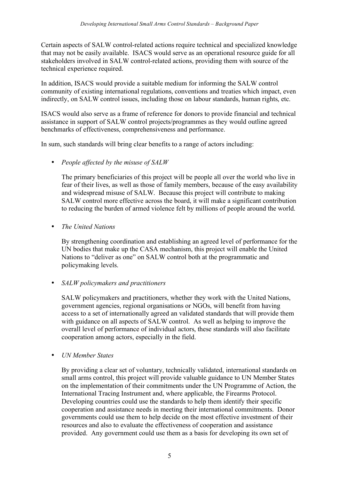Certain aspects of SALW control-related actions require technical and specialized knowledge that may not be easily available. ISACS would serve as an operational resource guide for all stakeholders involved in SALW control-related actions, providing them with source of the technical experience required.

In addition, ISACS would provide a suitable medium for informing the SALW control community of existing international regulations, conventions and treaties which impact, even indirectly, on SALW control issues, including those on labour standards, human rights, etc.

ISACS would also serve as a frame of reference for donors to provide financial and technical assistance in support of SALW control projects/programmes as they would outline agreed benchmarks of effectiveness, comprehensiveness and performance.

In sum, such standards will bring clear benefits to a range of actors including:

## • *People affected by the misuse of SALW*

The primary beneficiaries of this project will be people all over the world who live in fear of their lives, as well as those of family members, because of the easy availability and widespread misuse of SALW. Because this project will contribute to making SALW control more effective across the board, it will make a significant contribution to reducing the burden of armed violence felt by millions of people around the world.

## • *The United Nations*

By strengthening coordination and establishing an agreed level of performance for the UN bodies that make up the CASA mechanism, this project will enable the United Nations to "deliver as one" on SALW control both at the programmatic and policymaking levels.

## • *SALW policymakers and practitioners*

SALW policymakers and practitioners, whether they work with the United Nations, government agencies, regional organisations or NGOs, will benefit from having access to a set of internationally agreed an validated standards that will provide them with guidance on all aspects of SALW control. As well as helping to improve the overall level of performance of individual actors, these standards will also facilitate cooperation among actors, especially in the field.

#### • *UN Member States*

By providing a clear set of voluntary, technically validated, international standards on small arms control, this project will provide valuable guidance to UN Member States on the implementation of their commitments under the UN Programme of Action, the International Tracing Instrument and, where applicable, the Firearms Protocol. Developing countries could use the standards to help them identify their specific cooperation and assistance needs in meeting their international commitments. Donor governments could use them to help decide on the most effective investment of their resources and also to evaluate the effectiveness of cooperation and assistance provided. Any government could use them as a basis for developing its own set of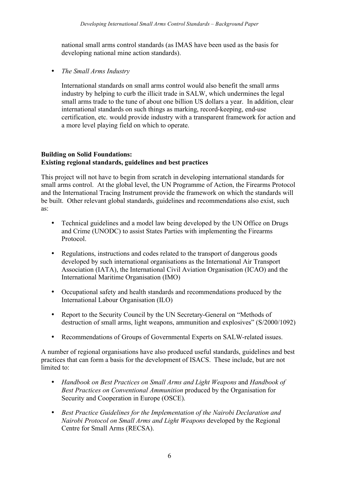national small arms control standards (as IMAS have been used as the basis for developing national mine action standards).

• *The Small Arms Industry*

International standards on small arms control would also benefit the small arms industry by helping to curb the illicit trade in SALW, which undermines the legal small arms trade to the tune of about one billion US dollars a year. In addition, clear international standards on such things as marking, record-keeping, end-use certification, etc. would provide industry with a transparent framework for action and a more level playing field on which to operate.

## **Building on Solid Foundations: Existing regional standards, guidelines and best practices**

This project will not have to begin from scratch in developing international standards for small arms control. At the global level, the UN Programme of Action, the Firearms Protocol and the International Tracing Instrument provide the framework on which the standards will be built. Other relevant global standards, guidelines and recommendations also exist, such as:

- Technical guidelines and a model law being developed by the UN Office on Drugs and Crime (UNODC) to assist States Parties with implementing the Firearms Protocol.
- Regulations, instructions and codes related to the transport of dangerous goods developed by such international organisations as the International Air Transport Association (IATA), the International Civil Aviation Organisation (ICAO) and the International Maritime Organisation (IMO)
- Occupational safety and health standards and recommendations produced by the International Labour Organisation (ILO)
- Report to the Security Council by the UN Secretary-General on "Methods of destruction of small arms, light weapons, ammunition and explosives" (S/2000/1092)
- Recommendations of Groups of Governmental Experts on SALW-related issues.

A number of regional organisations have also produced useful standards, guidelines and best practices that can form a basis for the development of ISACS. These include, but are not limited to:

- *Handbook on Best Practices on Small Arms and Light Weapons* and *Handbook of Best Practices on Conventional Ammunition* produced by the Organisation for Security and Cooperation in Europe (OSCE).
- *Best Practice Guidelines for the Implementation of the Nairobi Declaration and Nairobi Protocol on Small Arms and Light Weapons* developed by the Regional Centre for Small Arms (RECSA).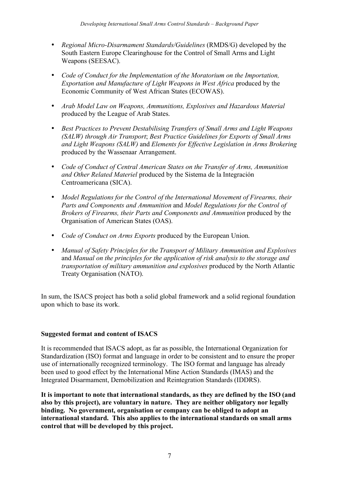- *Regional Micro-Disarmament Standards/Guidelines* (RMDS/G) developed by the South Eastern Europe Clearinghouse for the Control of Small Arms and Light Weapons (SEESAC).
- *Code of Conduct for the Implementation of the Moratorium on the Importation, Exportation and Manufacture of Light Weapons in West Africa* produced by the Economic Community of West African States (ECOWAS).
- *Arab Model Law on Weapons, Ammunitions, Explosives and Hazardous Material* produced by the League of Arab States.
- *Best Practices to Prevent Destabilising Transfers of Small Arms and Light Weapons (SALW) through Air Transport*; *Best Practice Guidelines for Exports of Small Arms and Light Weapons (SALW)* and *Elements for Effective Legislation in Arms Brokering* produced by the Wassenaar Arrangement.
- *Code of Conduct of Central American States on the Transfer of Arms, Ammunition and Other Related Materiel* produced by the Sistema de la Integración Centroamericana (SICA).
- *Model Regulations for the Control of the International Movement of Firearms, their Parts and Components and Ammunition* and *Model Regulations for the Control of Brokers of Firearms, their Parts and Components and Ammunition* produced by the Organisation of American States (OAS).
- *Code of Conduct on Arms Exports* produced by the European Union.
- *Manual of Safety Principles for the Transport of Military Ammunition and Explosives* and *Manual on the principles for the application of risk analysis to the storage and transportation of military ammunition and explosives* produced by the North Atlantic Treaty Organisation (NATO).

In sum, the ISACS project has both a solid global framework and a solid regional foundation upon which to base its work.

## **Suggested format and content of ISACS**

It is recommended that ISACS adopt, as far as possible, the International Organization for Standardization (ISO) format and language in order to be consistent and to ensure the proper use of internationally recognized terminology. The ISO format and language has already been used to good effect by the International Mine Action Standards (IMAS) and the Integrated Disarmament, Demobilization and Reintegration Standards (IDDRS).

**It is important to note that international standards, as they are defined by the ISO (and also by this project), are voluntary in nature. They are neither obligatory nor legally binding. No government, organisation or company can be obliged to adopt an international standard. This also applies to the international standards on small arms control that will be developed by this project.**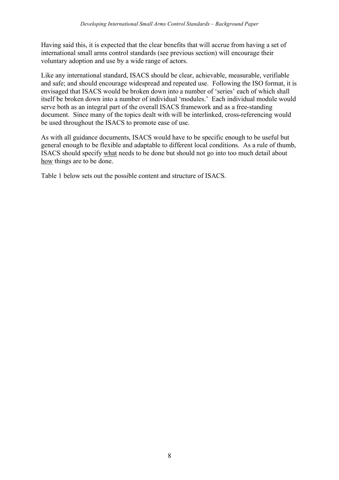Having said this, it is expected that the clear benefits that will accrue from having a set of international small arms control standards (see previous section) will encourage their voluntary adoption and use by a wide range of actors.

Like any international standard, ISACS should be clear, achievable, measurable, verifiable and safe; and should encourage widespread and repeated use. Following the ISO format, it is envisaged that ISACS would be broken down into a number of 'series' each of which shall itself be broken down into a number of individual 'modules.' Each individual module would serve both as an integral part of the overall ISACS framework and as a free-standing document. Since many of the topics dealt with will be interlinked, cross-referencing would be used throughout the ISACS to promote ease of use.

As with all guidance documents, ISACS would have to be specific enough to be useful but general enough to be flexible and adaptable to different local conditions. As a rule of thumb, ISACS should specify what needs to be done but should not go into too much detail about how things are to be done.

Table 1 below sets out the possible content and structure of ISACS.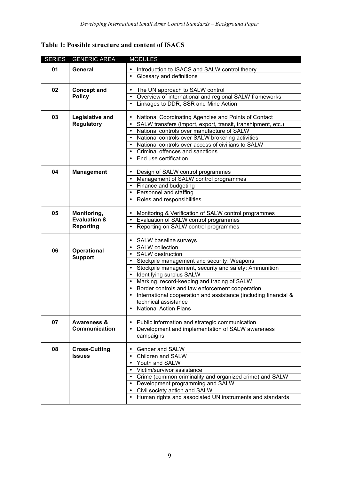|  |  |  |  |  | Table 1: Possible structure and content of ISACS |
|--|--|--|--|--|--------------------------------------------------|
|--|--|--|--|--|--------------------------------------------------|

| <b>SERIES</b> | <b>GENERIC AREA</b>     | <b>MODULES</b>                                                  |
|---------------|-------------------------|-----------------------------------------------------------------|
| 01            | General                 | Introduction to ISACS and SALW control theory                   |
|               |                         | Glossary and definitions                                        |
| 02            | <b>Concept and</b>      | • The UN approach to SALW control                               |
|               | <b>Policy</b>           | • Overview of international and regional SALW frameworks        |
|               |                         | Linkages to DDR, SSR and Mine Action                            |
| 03            | Legislative and         | National Coordinating Agencies and Points of Contact            |
|               | <b>Regulatory</b>       | SALW transfers (import, export, transit, transhipment, etc.)    |
|               |                         | National controls over manufacture of SALW                      |
|               |                         | • National controls over SALW brokering activities              |
|               |                         | • National controls over access of civilians to SALW            |
|               |                         | Criminal offences and sanctions                                 |
|               |                         | End use certification                                           |
| 04            | <b>Management</b>       | Design of SALW control programmes                               |
|               |                         | • Management of SALW control programmes                         |
|               |                         | • Finance and budgeting                                         |
|               |                         | • Personnel and staffing                                        |
|               |                         | • Roles and responsibilities                                    |
| 05            | Monitoring,             | Monitoring & Verification of SALW control programmes            |
|               | <b>Evaluation &amp;</b> | • Evaluation of SALW control programmes                         |
|               | <b>Reporting</b>        | Reporting on SALW control programmes                            |
|               |                         | SALW baseline surveys                                           |
| 06            | <b>Operational</b>      | <b>SALW</b> collection                                          |
|               | <b>Support</b>          | SALW destruction                                                |
|               |                         | Stockpile management and security: Weapons                      |
|               |                         | Stockpile management, security and safety: Ammunition           |
|               |                         | Identifying surplus SALW                                        |
|               |                         | Marking, record-keeping and tracing of SALW                     |
|               |                         | Border controls and law enforcement cooperation                 |
|               |                         | International cooperation and assistance (including financial & |
|               |                         | technical assistance<br><b>National Action Plans</b>            |
|               |                         |                                                                 |
| 07            | <b>Awareness &amp;</b>  | Public information and strategic communication                  |
|               | Communication           | Development and implementation of SALW awareness                |
|               |                         | campaigns                                                       |
| 08            | <b>Cross-Cutting</b>    | Gender and SALW                                                 |
|               | <b>Issues</b>           | <b>Children and SALW</b>                                        |
|               |                         | Youth and SALW                                                  |
|               |                         | Victim/survivor assistance                                      |
|               |                         | Crime (common criminality and organized crime) and SALW         |
|               |                         | • Development programming and SALW                              |
|               |                         | • Civil society action and SALW                                 |
|               |                         | • Human rights and associated UN instruments and standards      |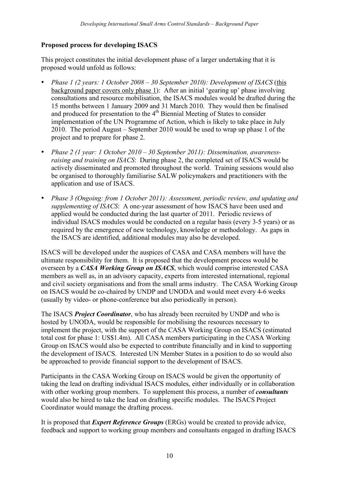# **Proposed process for developing ISACS**

This project constitutes the initial development phase of a larger undertaking that it is proposed would unfold as follows:

- *Phase 1 (2 years: 1 October 2008 30 September 2010): Development of ISACS* (this background paper covers only phase 1): After an initial 'gearing up' phase involving consultations and resource mobilisation, the ISACS modules would be drafted during the 15 months between 1 January 2009 and 31 March 2010. They would then be finalised and produced for presentation to the  $4<sup>th</sup>$  Biennial Meeting of States to consider implementation of the UN Programme of Action, which is likely to take place in July 2010. The period August – September 2010 would be used to wrap up phase 1 of the project and to prepare for phase 2.
- *Phase 2 (1 year: 1 October 2010 30 September 2011): Dissemination, awarenessraising and training on ISACS*: During phase 2, the completed set of ISACS would be actively disseminated and promoted throughout the world. Training sessions would also be organised to thoroughly familiarise SALW policymakers and practitioners with the application and use of ISACS.
- *Phase 3 (Ongoing: from 1 October 2011): Assessment, periodic review, and updating and supplementing of ISACS*: A one-year assessment of how ISACS have been used and applied would be conducted during the last quarter of 2011. Periodic reviews of individual ISACS modules would be conducted on a regular basis (every 3-5 years) or as required by the emergence of new technology, knowledge or methodology. As gaps in the ISACS are identified, additional modules may also be developed.

ISACS will be developed under the auspices of CASA and CASA members will have the ultimate responsibility for them. It is proposed that the development process would be overseen by a *CASA Working Group on ISACS*, which would comprise interested CASA members as well as, in an advisory capacity, experts from interested international, regional and civil society organisations and from the small arms industry. The CASA Working Group on ISACS would be co-chaired by UNDP and UNODA and would meet every 4-6 weeks (usually by video- or phone-conference but also periodically in person).

The ISACS *Project Coordinator*, who has already been recruited by UNDP and who is hosted by UNODA, would be responsible for mobilising the resources necessary to implement the project, with the support of the CASA Working Group on ISACS (estimated total cost for phase 1: US\$1.4m). All CASA members participating in the CASA Working Group on ISACS would also be expected to contribute financially and in kind to supporting the development of ISACS. Interested UN Member States in a position to do so would also be approached to provide financial support to the development of ISACS.

Participants in the CASA Working Group on ISACS would be given the opportunity of taking the lead on drafting individual ISACS modules, either individually or in collaboration with other working group members. To supplement this process, a number of *consultants* would also be hired to take the lead on drafting specific modules. The ISACS Project Coordinator would manage the drafting process.

It is proposed that *Expert Reference Groups* (ERGs) would be created to provide advice, feedback and support to working group members and consultants engaged in drafting ISACS